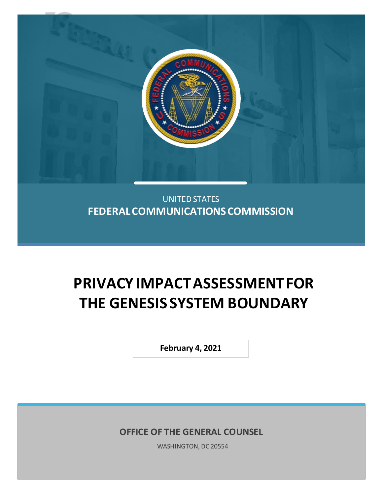

**FEDERAL COMMUNICATIONS COMMISSION**

# **PRIVACY IMPACT ASSESSMENT FOR THE GENESIS SYSTEM BOUNDARY**

**February 4, 2021**

**OFFICE OF THE GENERAL COUNSEL**

WASHINGTON, DC 20554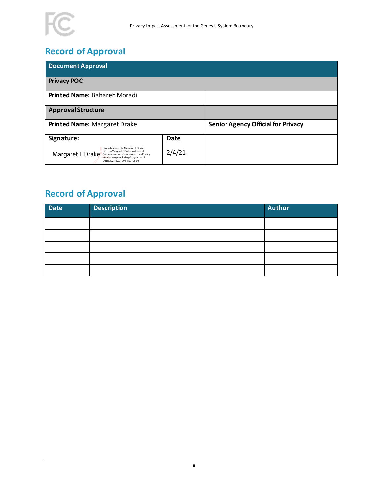

## **Record of Approval**

| Document Approval                                                                                                                                                                                                   |             |                                           |  |  |
|---------------------------------------------------------------------------------------------------------------------------------------------------------------------------------------------------------------------|-------------|-------------------------------------------|--|--|
| <b>Privacy POC</b>                                                                                                                                                                                                  |             |                                           |  |  |
| Printed Name: Bahareh Moradi                                                                                                                                                                                        |             |                                           |  |  |
| <b>Approval Structure</b>                                                                                                                                                                                           |             |                                           |  |  |
| Printed Name: Margaret Drake                                                                                                                                                                                        |             | <b>Senior Agency Official for Privacy</b> |  |  |
| Signature:                                                                                                                                                                                                          | <b>Date</b> |                                           |  |  |
| Digitally signed by Margaret E Drake<br>DN: cn=Margaret E Drake, o=Federal<br>Margaret E Drake<br>Communications Commission, ou=Privacy,<br>email=margaret.drake@fcc.gov, c=US<br>Date: 2021.02.04 09:51:57 -05'00' | 2/4/21      |                                           |  |  |

## **Record of Approval**

| Date | <b>Description</b> | <b>Author</b> |
|------|--------------------|---------------|
|      |                    |               |
|      |                    |               |
|      |                    |               |
|      |                    |               |
|      |                    |               |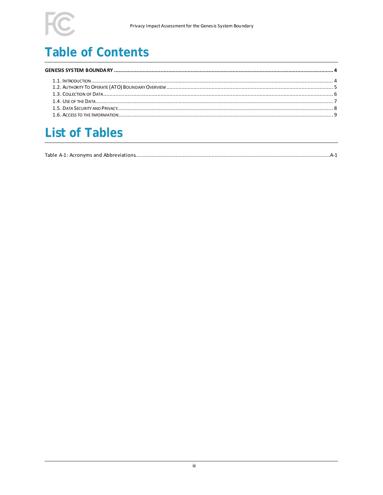## **Table of Contents**

## **List of Tables**

|--|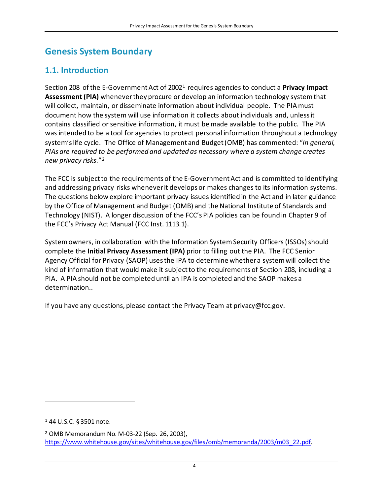### <span id="page-3-0"></span>**Genesis System Boundary**

#### <span id="page-3-1"></span>**1.1. Introduction**

Section 208 of the E-Government Act of 2002[1](#page-3-2) requires agencies to conduct a **Privacy Impact Assessment (PIA)** whenever they procure or develop an information technology system that will collect, maintain, or disseminate information about individual people. The PIA must document how the system will use information it collects about individuals and, unless it contains classified or sensitive information, it must be made available to the public. The PIA was intended to be a tool for agencies to protect personal information throughout a technology system's life cycle. The Office of Management and Budget (OMB) has commented: "*In general, PIAs are required to be performed and updated as necessary where a system change creates new privacy risks.*"[2](#page-3-3)

The FCC is subject to the requirements of the E-Government Act and is committed to identifying and addressing privacy risks whenever it develops or makes changes to its information systems. The questions below explore important privacy issues identified in the Act and in later guidance by the Office of Management and Budget (OMB) and the National Institute of Standards and Technology (NIST). A longer discussion of the FCC's PIA policies can be found in Chapter 9 of the FCC's Privacy Act Manual (FCC Inst. 1113.1).

System owners, in collaboration with the Information System Security Officers (ISSOs)should complete the **Initial Privacy Assessment (IPA)** prior to filling out the PIA. The FCC Senior Agency Official for Privacy (SAOP) usesthe IPA to determine whether a system will collect the kind of information that would make it subject to the requirements of Section 208, including a PIA. A PIA should not be completed until an IPA is completed and the SAOP makes a determination..

If you have any questions, please contact the Privacy Team at privacy@fcc.gov.

<span id="page-3-2"></span><sup>1</sup> 44 U.S.C. § 3501 note.

<span id="page-3-3"></span><sup>2</sup> OMB Memorandum No. M-03-22 (Sep. 26, 2003), [https://www.whitehouse.gov/sites/whitehouse.gov/files/omb/memoranda/2003/m03\\_22.pdf.](https://www.whitehouse.gov/sites/whitehouse.gov/files/omb/memoranda/2003/m03_22.pdf)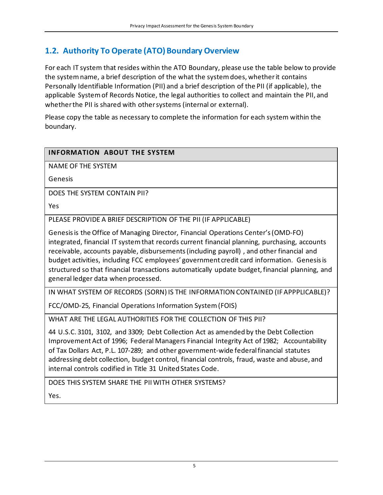#### <span id="page-4-0"></span>**1.2. Authority To Operate (ATO) Boundary Overview**

For each IT system that resides within the ATO Boundary, please use the table below to provide the system name, a brief description of the what the system does, whether it contains Personally Identifiable Information (PII) and a brief description of the PII (if applicable), the applicable System of Records Notice, the legal authorities to collect and maintain the PII, and whether the PII is shared with other systems (internal or external).

Please copy the table as necessary to complete the information for each system within the boundary.

#### **INFORMATION ABOUT THE SYSTEM**

NAME OF THE SYSTEM

Genesis

DOES THE SYSTEM CONTAIN PII?

Yes

PLEASE PROVIDE A BRIEF DESCRIPTION OF THE PII (IF APPLICABLE)

Genesis is the Office of Managing Director, Financial Operations Center's (OMD-FO) integrated, financial IT system that records current financial planning, purchasing, accounts receivable, accounts payable, disbursements (including payroll) , and other financial and budget activities, including FCC employees' government credit card information. Genesis is structured so that financial transactions automatically update budget, financial planning, and general ledger data when processed.

IN WHAT SYSTEM OF RECORDS (SORN) IS THE INFORMATION CONTAINED (IF APPPLICABLE)?

FCC/OMD-25, Financial Operations Information System(FOIS)

WHAT ARE THE LEGAL AUTHORITIES FOR THE COLLECTION OF THIS PII?

44 U.S.C. 3101, 3102, and 3309; Debt Collection Act as amended by the Debt Collection Improvement Act of 1996; Federal Managers Financial Integrity Act of 1982; Accountability of Tax Dollars Act, P.L. 107-289; and other government-wide federal financial statutes addressing debt collection, budget control, financial controls, fraud, waste and abuse, and internal controls codified in Title 31 United States Code.

DOES THIS SYSTEM SHARE THE PII WITH OTHER SYSTEMS?

Yes.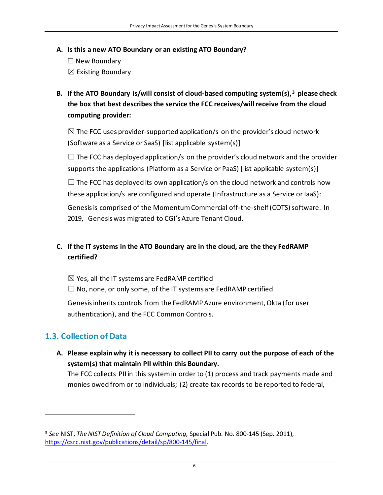- **A. Is this a new ATO Boundary or an existing ATO Boundary?** 
	- ☐ New Boundary  $\boxtimes$  Existing Boundary
- **B. If the ATO Boundary is/will consist of cloud-based computing system(s),[3](#page-5-1) please check the box that best describes the service the FCC receives/will receive from the cloud computing provider:**

 $\boxtimes$  The FCC uses provider-supported application/s on the provider's cloud network (Software as a Service or SaaS) [list applicable system(s)]

 $\Box$  The FCC has deployed application/s on the provider's cloud network and the provider supports the applications (Platform as a Service or PaaS) [list applicable system(s)]

 $\Box$  The FCC has deployed its own application/s on the cloud network and controls how these application/s are configured and operate (Infrastructure as a Service or IaaS):

Genesis is comprised of the Momentum Commercial off-the-shelf (COTS) software. In 2019, Genesis was migrated to CGI's Azure Tenant Cloud.

#### **C. If the IT systems in the ATO Boundary are in the cloud, are the they FedRAMP certified?**

 $\boxtimes$  Yes, all the IT systems are FedRAMP certified

 $\Box$  No, none, or only some, of the IT systems are FedRAMP certified

Genesis inherits controls from the FedRAMP Azure environment, Okta (for user authentication), and the FCC Common Controls.

#### <span id="page-5-0"></span>**1.3. Collection of Data**

**A. Please explain why it is necessary to collect PII to carry out the purpose of each of the system(s) that maintain PII within this Boundary.**

The FCC collects PII in this system in order to (1) process and track payments made and monies owed from or to individuals; (2) create tax records to be reported to federal,

<span id="page-5-1"></span><sup>3</sup> *See* NIST, *The NIST Definition of Cloud Computing*, Special Pub. No. 800-145 (Sep. 2011), [https://csrc.nist.gov/publications/detail/sp/800-145/final.](https://csrc.nist.gov/publications/detail/sp/800-145/final)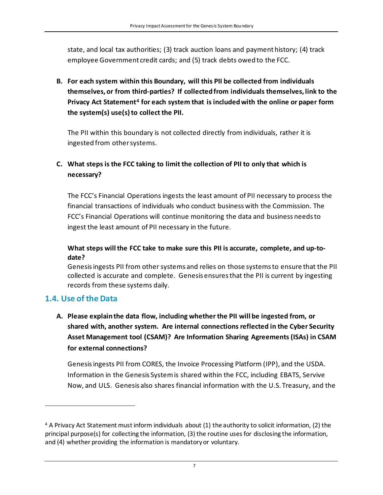state, and local tax authorities; (3) track auction loans and payment history; (4) track employee Government credit cards; and (5) track debts owed to the FCC.

**B. For each system within this Boundary, will this PII be collected from individuals themselves, or from third-parties? If collected from individuals themselves, link to the Privacy Act Statement[4](#page-6-1) for each system that is included with the online or paper form the system(s) use(s)to collect the PII.** 

The PII within this boundary is not collected directly from individuals, rather it is ingested from other systems.

#### **C. What steps is the FCC taking to limit the collection of PII to only that which is necessary?**

The FCC's Financial Operations ingests the least amount of PII necessary to process the financial transactions of individuals who conduct business with the Commission. The FCC's Financial Operations will continue monitoring the data and business needs to ingest the least amount of PII necessary in the future.

#### **What steps will the FCC take to make sure this PII is accurate, complete, and up-todate?**

Genesis ingests PII from other systems and relies on those systems to ensure that the PII collected is accurate and complete. Genesis ensures that the PII is current by ingesting records from these systems daily.

#### <span id="page-6-0"></span>**1.4. Use of the Data**

**A. Please explain the data flow, including whether the PII will be ingested from, or shared with, another system. Are internal connections reflected in the Cyber Security Asset Management tool (CSAM)? Are Information Sharing Agreements (ISAs) in CSAM for external connections?**

Genesis ingests PII from CORES, the Invoice Processing Platform (IPP), and the USDA. Information in the Genesis System is shared within the FCC, including EBATS, Servive Now, and ULS. Genesis also shares financial information with the U.S. Treasury, and the

<span id="page-6-1"></span><sup>4</sup> A Privacy Act Statement must inform individuals about (1) the authority to solicit information, (2) the principal purpose(s) for collecting the information, (3) the routine uses for disclosing the information, and (4) whether providing the information is mandatory or voluntary.

z za zapisani za na stari za na stari za na stari za na stari za na stari za na stari za na stari za na stari<br>Za stari za na stari za na stari za na stari za na stari za na stari za na stari za na stari za na stari za na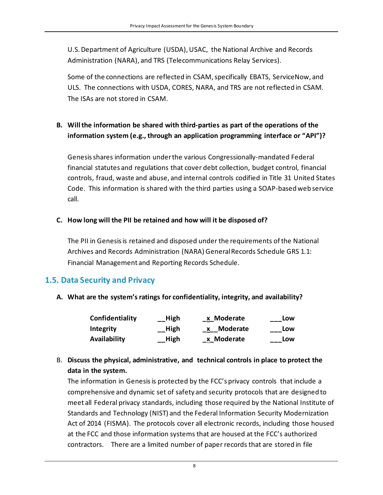U.S. Department of Agriculture (USDA), USAC, the National Archive and Records Administration (NARA), and TRS (Telecommunications Relay Services).

Some of the connections are reflected in CSAM, specifically EBATS, ServiceNow, and ULS. The connections with USDA, CORES, NARA, and TRS are not reflected in CSAM. The ISAs are not stored in CSAM.

#### **B. Will the information be shared with third-parties as part of the operations of the information system (e.g., through an application programming interface or "API")?**

Genesis shares information under the various Congressionally-mandated Federal financial statutes and regulations that cover debt collection, budget control, financial controls, fraud, waste and abuse, and internal controls codified in Title 31 United States Code. This information is shared with the third parties using a SOAP-based web service call.

#### **C. How long will the PII be retained and how will it be disposed of?**

The PII in Genesis is retained and disposed under the requirements ofthe National Archives and Records Administration (NARA) General Records Schedule GRS 1.1: Financial Management and Reporting Records Schedule.

#### <span id="page-7-0"></span>**1.5. Data Security and Privacy**

**A. What are the system's ratings for confidentiality, integrity, and availability?**

| Confidentiality | $\overline{\phantom{a}}$ High | _x_Moderate | Low |
|-----------------|-------------------------------|-------------|-----|
| Integrity       | _High                         | x Moderate  | Low |
| Availability    | _High                         | _x_Moderate | Low |

#### B. **Discuss the physical, administrative, and technical controls in place to protect the data in the system.**

The information in Genesis is protected by the FCC's privacy controls that include a comprehensive and dynamic set of safety and security protocols that are designed to meet all Federal privacy standards, including those required by the National Institute of Standards and Technology (NIST) and the Federal Information Security Modernization Act of 2014 (FISMA). The protocols cover all electronic records, including those housed at the FCC and those information systems that are housed at the FCC's authorized contractors. There are a limited number of paper records that are stored in file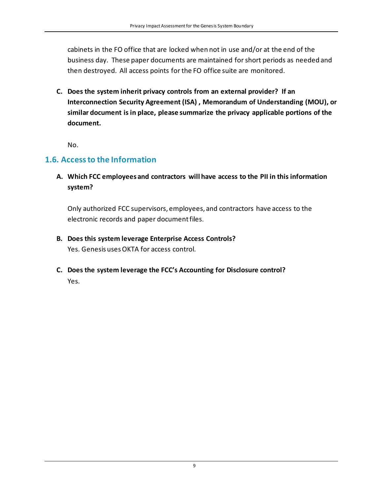cabinets in the FO office that are locked when not in use and/or at the end of the business day. These paper documents are maintained for short periods as needed and then destroyed. All access points for the FO office suite are monitored.

**C. Does the system inherit privacy controls from an external provider? If an Interconnection Security Agreement (ISA) , Memorandum of Understanding (MOU), or similar document is in place, please summarize the privacy applicable portions of the document.** 

No.

#### <span id="page-8-0"></span>**1.6. Access to the Information**

**A. Which FCC employees and contractors will have access to the PII in this information system?**

Only authorized FCC supervisors, employees, and contractors have access to the electronic records and paper document files.

- **B. Does this system leverage Enterprise Access Controls?** Yes. Genesis uses OKTA for access control.
- **C. Does the system leverage the FCC's Accounting for Disclosure control?** Yes.